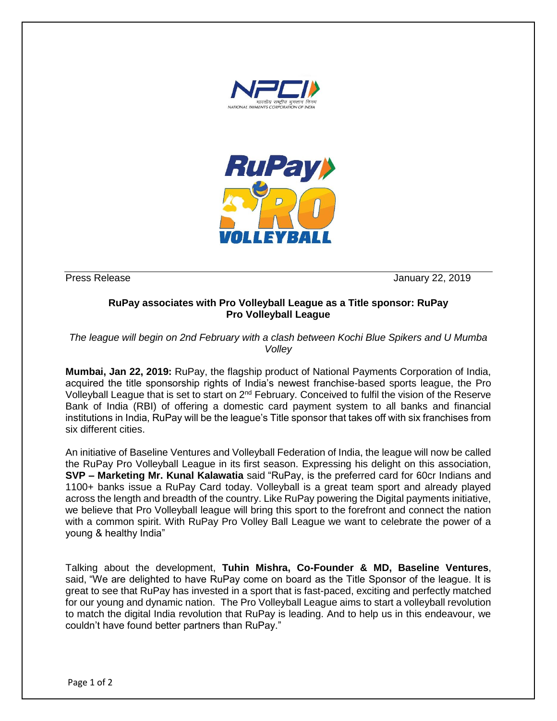



Press Release January 22, 2019

## **RuPay associates with Pro Volleyball League as a Title sponsor: RuPay Pro Volleyball League**

*The league will begin on 2nd February with a clash between Kochi Blue Spikers and U Mumba Volley*

**Mumbai, Jan 22, 2019:** RuPay, the flagship product of National Payments Corporation of India, acquired the title sponsorship rights of India's newest franchise-based sports league, the Pro Volleyball League that is set to start on 2<sup>nd</sup> February. Conceived to fulfil the vision of the Reserve Bank of India (RBI) of offering a domestic card payment system to all banks and financial institutions in India, RuPay will be the league's Title sponsor that takes off with six franchises from six different cities.

An initiative of Baseline Ventures and Volleyball Federation of India, the league will now be called the RuPay Pro Volleyball League in its first season. Expressing his delight on this association, **SVP – Marketing Mr. Kunal Kalawatia** said "RuPay, is the preferred card for 60cr Indians and 1100+ banks issue a RuPay Card today. Volleyball is a great team sport and already played across the length and breadth of the country. Like RuPay powering the Digital payments initiative, we believe that Pro Volleyball league will bring this sport to the forefront and connect the nation with a common spirit. With RuPay Pro Volley Ball League we want to celebrate the power of a young & healthy India"

Talking about the development, **Tuhin Mishra, Co-Founder & MD, Baseline Ventures**, said, "We are delighted to have RuPay come on board as the Title Sponsor of the league. It is great to see that RuPay has invested in a sport that is fast-paced, exciting and perfectly matched for our young and dynamic nation. The Pro Volleyball League aims to start a volleyball revolution to match the digital India revolution that RuPay is leading. And to help us in this endeavour, we couldn't have found better partners than RuPay."